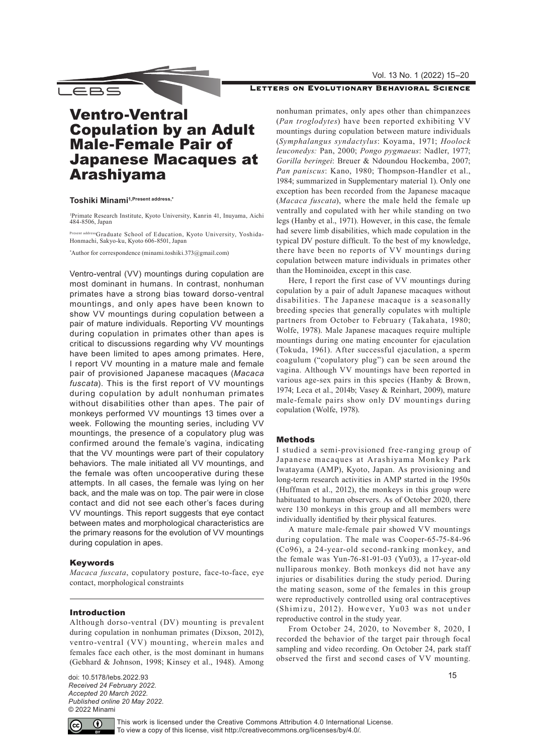#### Vol. 13 No. 1 (2022) 15–20

## LETTERS ON EVOLUTIONARY BEHAVIORAL SCIENCE

# Ventro-Ventral Copulation by an Adult Male-Female Pair of Japanese Macaques at Arashiyama

## **Toshiki Minami1,Present address,\***

\_EBS

1 Primate Research Institute, Kyoto University, Kanrin 41, Inuyama, Aichi 484-8506, Japan

Present addressGraduate School of Education, Kyoto University, Yoshida-Honmachi, Sakyo-ku, Kyoto 606-8501, Japan

\* Author for correspondence ([minami.toshiki.373@gmail.com](mailto:minami.toshiki.373%40gmail.com?subject=))

Ventro-ventral (VV) mountings during copulation are most dominant in humans. In contrast, nonhuman primates have a strong bias toward dorso-ventral mountings, and only apes have been known to show VV mountings during copulation between a pair of mature individuals. Reporting VV mountings during copulation in primates other than apes is critical to discussions regarding why VV mountings have been limited to apes among primates. Here, I report VV mounting in a mature male and female pair of provisioned Japanese macaques (*Macaca fuscata*). This is the first report of VV mountings during copulation by adult nonhuman primates without disabilities other than apes. The pair of monkeys performed VV mountings 13 times over a week. Following the mounting series, including VV mountings, the presence of a copulatory plug was confirmed around the female's vagina, indicating that the VV mountings were part of their copulatory behaviors. The male initiated all VV mountings, and the female was often uncooperative during these attempts. In all cases, the female was lying on her back, and the male was on top. The pair were in close contact and did not see each other's faces during VV mountings. This report suggests that eye contact between mates and morphological characteristics are the primary reasons for the evolution of VV mountings during copulation in apes.

## Keywords

*Macaca fuscata*, copulatory posture, face-to-face, eye contact, morphological constraints

#### Introduction

Although dorso-ventral (DV) mounting is prevalent during copulation in nonhuman primates (Dixson, 2012), ventro-ventral (VV) mounting, wherein males and females face each other, is the most dominant in humans (Gebhard & Johnson, 1998; Kinsey et al., 1948). Among

doi: 10.5178/lebs.2022.93 *Received 24 February 2022. Accepted 20 March 2022. Published online 20 May 2022.* © 2022 Minami

nonhuman primates, only apes other than chimpanzees (*Pan troglodytes*) have been reported exhibiting VV mountings during copulation between mature individuals (*Symphalangus syndactylus*: Koyama, 1971; *Hoolock leuconedys:* Pan, 2000; *Pongo pygmaeus*: Nadler, 1977; *Gorilla beringei*: Breuer & Ndoundou Hockemba, 2007; *Pan paniscus*: Kano, 1980; Thompson-Handler et al., 1984; summarized in Supplementary material 1). Only one exception has been recorded from the Japanese macaque (*Macaca fuscata*), where the male held the female up ventrally and copulated with her while standing on two legs (Hanby et al., 1971). However, in this case, the female had severe limb disabilities, which made copulation in the typical DV posture difficult. To the best of my knowledge, there have been no reports of VV mountings during copulation between mature individuals in primates other than the Hominoidea, except in this case.

Here, I report the first case of VV mountings during copulation by a pair of adult Japanese macaques without disabilities. The Japanese macaque is a seasonally breeding species that generally copulates with multiple partners from October to February (Takahata, 1980; Wolfe, 1978). Male Japanese macaques require multiple mountings during one mating encounter for ejaculation (Tokuda, 1961). After successful ejaculation, a sperm coagulum ("copulatory plug") can be seen around the vagina. Although VV mountings have been reported in various age-sex pairs in this species (Hanby & Brown, 1974; Leca et al., 2014b; Vasey & Reinhart, 2009), mature male-female pairs show only DV mountings during copulation (Wolfe, 1978).

#### Methods

I studied a semi-provisioned free-ranging group of Japanese macaques at Arashiyama Monkey Park Iwatayama (AMP), Kyoto, Japan. As provisioning and long-term research activities in AMP started in the 1950s (Huffman et al., 2012), the monkeys in this group were habituated to human observers. As of October 2020, there were 130 monkeys in this group and all members were individually identified by their physical features.

A mature male-female pair showed VV mountings during copulation. The male was Cooper-65-75-84-96 (Co96), a 24-year-old second-ranking monkey, and the female was Yun-76-81-91-03 (Yu03), a 17-year-old nulliparous monkey. Both monkeys did not have any injuries or disabilities during the study period. During the mating season, some of the females in this group were reproductively controlled using oral contraceptives (Shimizu, 2012). However, Yu03 was not under reproductive control in the study year.

From October 24, 2020, to November 8, 2020, I recorded the behavior of the target pair through focal sampling and video recording. On October 24, park staff observed the first and second cases of VV mounting.



This work is licensed under the Creative Commons Attribution 4.0 International License. To view a copy of this license, visit <http://creativecommons.org/licenses/by/4.0/>.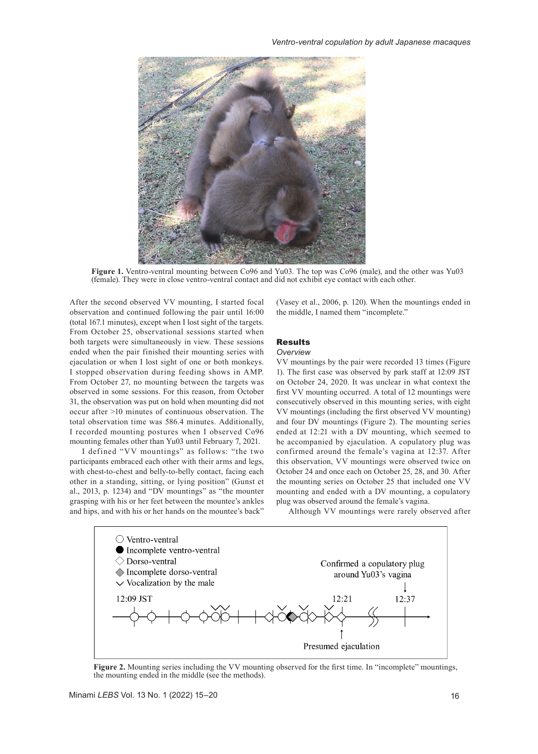

**Figure 1.** Ventro-ventral mounting between Co96 and Yu03. The top was Co96 (male), and the other was Yu03 (female). They were in close ventro-ventral contact and did not exhibit eye contact with each other.

After the second observed VV mounting, I started focal observation and continued following the pair until 16:00 (total 167.1 minutes), except when I lost sight of the targets. From October 25, observational sessions started when both targets were simultaneously in view. These sessions ended when the pair finished their mounting series with ejaculation or when I lost sight of one or both monkeys. I stopped observation during feeding shows in AMP. From October 27, no mounting between the targets was observed in some sessions. For this reason, from October 31, the observation was put on hold when mounting did not occur after >10 minutes of continuous observation. The total observation time was 586.4 minutes. Additionally, I recorded mounting postures when I observed Co96 mounting females other than Yu03 until February 7, 2021.

I defined "VV mountings" as follows: "the two participants embraced each other with their arms and legs, with chest-to-chest and belly-to-belly contact, facing each other in a standing, sitting, or lying position" (Gunst et al., 2013, p. 1234) and "DV mountings" as "the mounter grasping with his or her feet between the mountee's ankles and hips, and with his or her hands on the mountee's back"

(Vasey et al., 2006, p. 120). When the mountings ended in the middle, I named them "incomplete."

## Results

#### *Overview*

VV mountings by the pair were recorded 13 times (Figure 1). The first case was observed by park staff at 12:09 JST on October 24, 2020. It was unclear in what context the first VV mounting occurred. A total of 12 mountings were consecutively observed in this mounting series, with eight VV mountings (including the first observed VV mounting) and four DV mountings (Figure 2). The mounting series ended at 12:21 with a DV mounting, which seemed to be accompanied by ejaculation. A copulatory plug was confirmed around the female's vagina at 12:37. After this observation, VV mountings were observed twice on October 24 and once each on October 25, 28, and 30. After the mounting series on October 25 that included one VV mounting and ended with a DV mounting, a copulatory plug was observed around the female's vagina.

Although VV mountings were rarely observed after



**Figure 2.** Mounting series including the VV mounting observed for the first time. In "incomplete" mountings, the mounting ended in the middle (see the methods).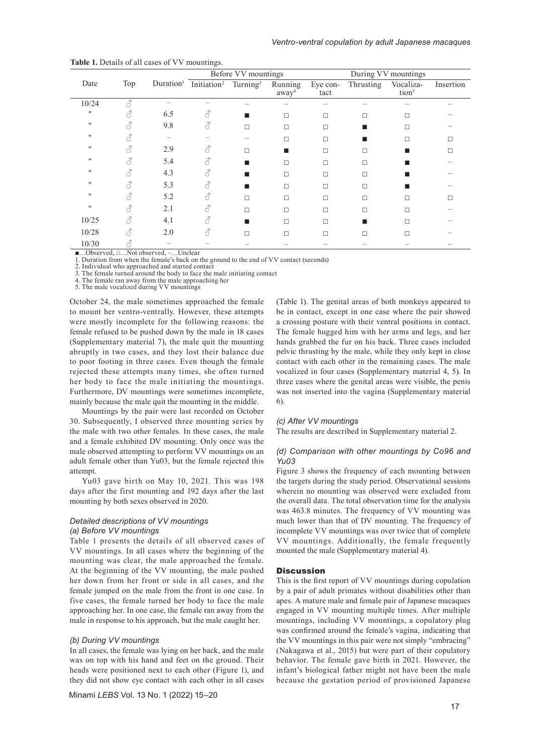|                   |                 |                                 | Before VV mountings                                                |   |                              | During VV mountings |           |                                |           |
|-------------------|-----------------|---------------------------------|--------------------------------------------------------------------|---|------------------------------|---------------------|-----------|--------------------------------|-----------|
| Date              | Top             |                                 | Duration <sup>1</sup> Initiation <sup>2</sup> Turning <sup>3</sup> |   | Running<br>away <sup>4</sup> | Eye con-<br>tact    | Thrusting | Vocaliza-<br>tion <sup>5</sup> | Insertion |
| 10/24             | 3               |                                 |                                                                    |   |                              |                     |           |                                |           |
| $^{\prime\prime}$ | 8               | 6.5                             | 8                                                                  |   | $\Box$                       | □                   | п         |                                |           |
| $^{\prime\prime}$ | 8               | 9.8                             | 8                                                                  | П | П                            | □                   |           |                                |           |
| $^{\prime\prime}$ |                 |                                 |                                                                    |   | П                            | $\Box$              |           | П                              |           |
| $^{\prime\prime}$ | 8               | 2.9                             | 8                                                                  | П |                              | □                   | п         |                                |           |
| $^{\prime\prime}$ |                 | 5.4                             |                                                                    |   | $\Box$                       | $\Box$              | □         |                                |           |
| $^{\prime\prime}$ |                 | 4.3                             |                                                                    |   | □                            | П                   | п         |                                |           |
| $^{\prime\prime}$ |                 | 5.3                             |                                                                    |   | $\Box$                       | □                   | п         |                                |           |
| 11                | L               | 5.2                             | A                                                                  | п | □                            | □                   |           |                                |           |
| $^{\prime\prime}$ | 8               | 2.1                             |                                                                    | п | $\Box$                       | $\Box$              | п         | П                              |           |
| 10/25             |                 | 4.1                             | 8                                                                  |   | $\Box$                       | $\Box$              |           |                                |           |
| 10/28             | 8               | 2.0                             | 8                                                                  | п | $\Box$                       | □                   | п         | □                              |           |
| 10/30<br>$\sim$ 1 | $\overline{11}$ | $T$ $T$ $T$ $T$<br>$\mathbf{1}$ |                                                                    |   |                              |                     |           |                                |           |

| Table 1. Details of all cases of VV mountings. |  |
|------------------------------------------------|--|
|------------------------------------------------|--|

■…Observed, □…Not observed, –…Unclear 1. Duration from when the female's back on the ground to the end of VV contact (seconds)

2. Individual who approached and started contact<br>3. The female turned around the body to face the r

The female turned around the body to face the male initiating contact 4. The female ran away from the male approaching her

5. The male vocalized during VV mountings

October 24, the male sometimes approached the female

to mount her ventro-ventrally. However, these attempts were mostly incomplete for the following reasons: the female refused to be pushed down by the male in 18 cases (Supplementary material 7), the male quit the mounting abruptly in two cases, and they lost their balance due to poor footing in three cases. Even though the female rejected these attempts many times, she often turned her body to face the male initiating the mountings. Furthermore, DV mountings were sometimes incomplete, mainly because the male quit the mounting in the middle.

Mountings by the pair were last recorded on October 30. Subsequently, I observed three mounting series by the male with two other females. In these cases, the male and a female exhibited DV mounting. Only once was the male observed attempting to perform VV mountings on an adult female other than Yu03, but the female rejected this attempt.

Yu03 gave birth on May 10, 2021. This was 198 days after the first mounting and 192 days after the last mounting by both sexes observed in 2020.

## *Detailed descriptions of VV mountings (a) Before VV mountings*

Table 1 presents the details of all observed cases of VV mountings. In all cases where the beginning of the mounting was clear, the male approached the female. At the beginning of the VV mounting, the male pushed her down from her front or side in all cases, and the female jumped on the male from the front in one case. In five cases, the female turned her body to face the male approaching her. In one case, the female ran away from the male in response to his approach, but the male caught her.

## *(b) During VV mountings*

In all cases, the female was lying on her back, and the male was on top with his hand and feet on the ground. Their heads were positioned next to each other (Figure 1), and they did not show eye contact with each other in all cases

Minami *LEBS* Vol. 13 No. 1 (2022) 15–20

(Table 1). The genital areas of both monkeys appeared to be in contact, except in one case where the pair showed a crossing posture with their ventral positions in contact. The female hugged him with her arms and legs, and her hands grabbed the fur on his back. Three cases included pelvic thrusting by the male, while they only kept in close contact with each other in the remaining cases. The male vocalized in four cases (Supplementary material 4, 5). In three cases where the genital areas were visible, the penis was not inserted into the vagina (Supplementary material 6).

#### *(c) After VV mountings*

The results are described in Supplementary material 2.

#### *(d) Comparison with other mountings by Co96 and Yu03*

Figure 3 shows the frequency of each mounting between the targets during the study period. Observational sessions wherein no mounting was observed were excluded from the overall data. The total observation time for the analysis was 463.8 minutes. The frequency of VV mounting was much lower than that of DV mounting. The frequency of incomplete VV mountings was over twice that of complete VV mountings. Additionally, the female frequently mounted the male (Supplementary material 4).

#### **Discussion**

This is the first report of VV mountings during copulation by a pair of adult primates without disabilities other than apes. A mature male and female pair of Japanese macaques engaged in VV mounting multiple times. After multiple mountings, including VV mountings, a copulatory plug was confirmed around the female's vagina, indicating that the VV mountings in this pair were not simply "embracing" (Nakagawa et al., 2015) but were part of their copulatory behavior. The female gave birth in 2021. However, the infant's biological father might not have been the male because the gestation period of provisioned Japanese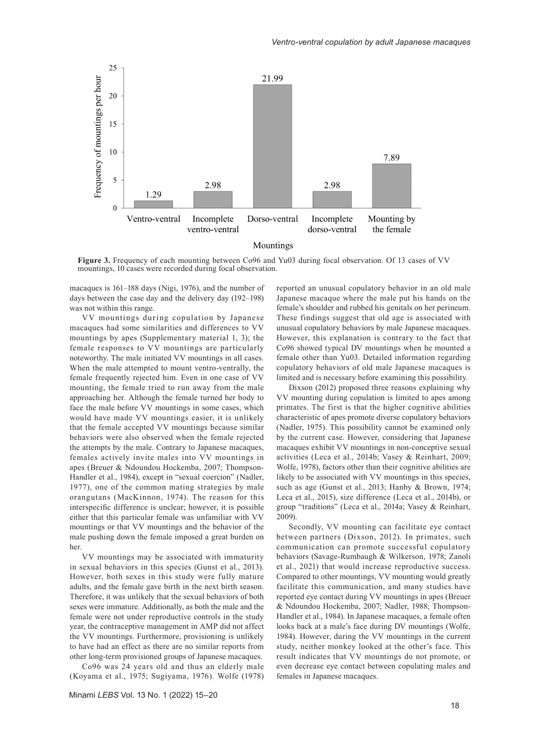

**Figure 3.** Frequency of each mounting between Co96 and Yu03 during focal observation. Of 13 cases of VV mountings, 10 cases were recorded during focal observation.

macaques is 161–188 days (Nigi, 1976), and the number of days between the case day and the delivery day (192–198) was not within this range.

VV mountings during copulation by Japanese macaques had some similarities and differences to VV mountings by apes (Supplementary material 1, 3); the female responses to VV mountings are particularly noteworthy. The male initiated VV mountings in all cases. When the male attempted to mount ventro-ventrally, the female frequently rejected him. Even in one case of VV mounting, the female tried to run away from the male approaching her. Although the female turned her body to face the male before VV mountings in some cases, which would have made VV mountings easier, it is unlikely that the female accepted VV mountings because similar behaviors were also observed when the female rejected the attempts by the male. Contrary to Japanese macaques, females actively invite males into VV mountings in apes (Breuer & Ndoundou Hockemba, 2007; Thompson-Handler et al., 1984), except in "sexual coercion" (Nadler, 1977), one of the common mating strategies by male orangutans (MacKinnon, 1974). The reason for this interspecific difference is unclear; however, it is possible either that this particular female was unfamiliar with VV mountings or that VV mountings and the behavior of the male pushing down the female imposed a great burden on her.

VV mountings may be associated with immaturity in sexual behaviors in this species (Gunst et al., 2013). However, both sexes in this study were fully mature adults, and the female gave birth in the next birth season. Therefore, it was unlikely that the sexual behaviors of both sexes were immature. Additionally, as both the male and the female were not under reproductive controls in the study year, the contraceptive management in AMP did not affect the VV mountings. Furthermore, provisioning is unlikely to have had an effect as there are no similar reports from other long-term provisioned groups of Japanese macaques.

Co96 was 24 years old and thus an elderly male (Koyama et al., 1975; Sugiyama, 1976). Wolfe (1978) reported an unusual copulatory behavior in an old male Japanese macaque where the male put his hands on the female's shoulder and rubbed his genitals on her perineum. These findings suggest that old age is associated with unusual copulatory behaviors by male Japanese macaques. However, this explanation is contrary to the fact that Co96 showed typical DV mountings when he mounted a female other than Yu03. Detailed information regarding copulatory behaviors of old male Japanese macaques is limited and is necessary before examining this possibility.

Dixson (2012) proposed three reasons explaining why VV mounting during copulation is limited to apes among primates. The first is that the higher cognitive abilities characteristic of apes promote diverse copulatory behaviors (Nadler, 1975). This possibility cannot be examined only by the current case. However, considering that Japanese macaques exhibit VV mountings in non-conceptive sexual activities (Leca et al., 2014b; Vasey & Reinhart, 2009; Wolfe, 1978), factors other than their cognitive abilities are likely to be associated with VV mountings in this species, such as age (Gunst et al., 2013; Hanby & Brown, 1974; Leca et al., 2015), size difference (Leca et al., 2014b), or group "traditions" (Leca et al., 2014a; Vasey & Reinhart, 2009).

Secondly, VV mounting can facilitate eye contact between partners (Dixson, 2012). In primates, such communication can promote successful copulatory behaviors (Savage-Rumbaugh & Wilkerson, 1978; Zanoli et al., 2021) that would increase reproductive success. Compared to other mountings, VV mounting would greatly facilitate this communication, and many studies have reported eye contact during VV mountings in apes (Breuer & Ndoundou Hockemba, 2007; Nadler, 1988; Thompson-Handler et al., 1984). In Japanese macaques, a female often looks back at a male's face during DV mountings (Wolfe, 1984). However, during the VV mountings in the current study, neither monkey looked at the other's face. This result indicates that VV mountings do not promote, or even decrease eye contact between copulating males and females in Japanese macaques.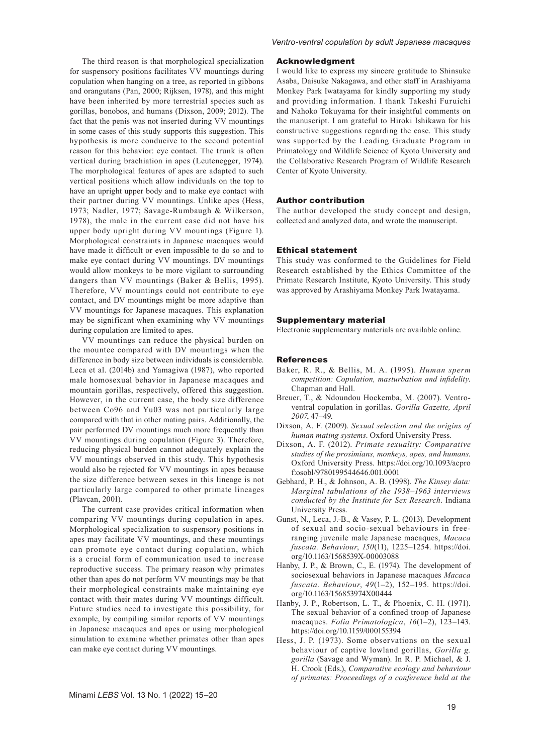The third reason is that morphological specialization for suspensory positions facilitates VV mountings during copulation when hanging on a tree, as reported in gibbons and orangutans (Pan, 2000; Rijksen, 1978), and this might have been inherited by more terrestrial species such as gorillas, bonobos, and humans (Dixson, 2009; 2012). The fact that the penis was not inserted during VV mountings in some cases of this study supports this suggestion. This hypothesis is more conducive to the second potential reason for this behavior: eye contact. The trunk is often vertical during brachiation in apes (Leutenegger, 1974). The morphological features of apes are adapted to such vertical positions which allow individuals on the top to have an upright upper body and to make eye contact with their partner during VV mountings. Unlike apes (Hess, 1973; Nadler, 1977; Savage-Rumbaugh & Wilkerson, 1978), the male in the current case did not have his upper body upright during VV mountings (Figure 1). Morphological constraints in Japanese macaques would have made it difficult or even impossible to do so and to make eye contact during VV mountings. DV mountings would allow monkeys to be more vigilant to surrounding dangers than VV mountings (Baker & Bellis, 1995). Therefore, VV mountings could not contribute to eye contact, and DV mountings might be more adaptive than VV mountings for Japanese macaques. This explanation may be significant when examining why VV mountings during copulation are limited to apes.

VV mountings can reduce the physical burden on the mountee compared with DV mountings when the difference in body size between individuals is considerable. Leca et al. (2014b) and Yamagiwa (1987), who reported male homosexual behavior in Japanese macaques and mountain gorillas, respectively, offered this suggestion. However, in the current case, the body size difference between Co96 and Yu03 was not particularly large compared with that in other mating pairs. Additionally, the pair performed DV mountings much more frequently than VV mountings during copulation (Figure 3). Therefore, reducing physical burden cannot adequately explain the VV mountings observed in this study. This hypothesis would also be rejected for VV mountings in apes because the size difference between sexes in this lineage is not particularly large compared to other primate lineages (Plavcan, 2001).

The current case provides critical information when comparing VV mountings during copulation in apes. Morphological specialization to suspensory positions in apes may facilitate VV mountings, and these mountings can promote eye contact during copulation, which is a crucial form of communication used to increase reproductive success. The primary reason why primates other than apes do not perform VV mountings may be that their morphological constraints make maintaining eye contact with their mates during VV mountings difficult. Future studies need to investigate this possibility, for example, by compiling similar reports of VV mountings in Japanese macaques and apes or using morphological simulation to examine whether primates other than apes can make eye contact during VV mountings.

*Ventro-ventral copulation by adult Japanese macaques*

#### Acknowledgment

I would like to express my sincere gratitude to Shinsuke Asaba, Daisuke Nakagawa, and other staff in Arashiyama Monkey Park Iwatayama for kindly supporting my study and providing information. I thank Takeshi Furuichi and Nahoko Tokuyama for their insightful comments on the manuscript. I am grateful to Hiroki Ishikawa for his constructive suggestions regarding the case. This study was supported by the Leading Graduate Program in Primatology and Wildlife Science of Kyoto University and the Collaborative Research Program of Wildlife Research Center of Kyoto University.

#### Author contribution

The author developed the study concept and design, collected and analyzed data, and wrote the manuscript.

#### Ethical statement

This study was conformed to the Guidelines for Field Research established by the Ethics Committee of the Primate Research Institute, Kyoto University. This study was approved by Arashiyama Monkey Park Iwatayama.

#### Supplementary material

Electronic supplementary materials are available [online.](https://doi.org/10.5178/lebs.2022.93)

#### References

- Baker, R. R., & Bellis, M. A. (1995). *Human sperm competition: Copulation, masturbation and infidelity*. Chapman and Hall.
- Breuer, T., & Ndoundou Hockemba, M. (2007). Ventroventral copulation in gorillas. *Gorilla Gazette, April 2007*, 47–49.
- Dixson, A. F. (2009). *Sexual selection and the origins of human mating systems*. Oxford University Press.
- Dixson, A. F. (2012). *Primate sexuality: Comparative studies of the prosimians, monkeys, apes, and humans*. Oxford University Press. [https://doi.org/10.1093/acpro](https://doi.org/10.1093/acprof:osobl/9780199544646.001.0001) [f:osobl/9780199544646.001.0001](https://doi.org/10.1093/acprof:osobl/9780199544646.001.0001)
- Gebhard, P. H., & Johnson, A. B. (1998). *The Kinsey data: Marginal tabulations of the 1938–1963 interviews conducted by the Institute for Sex Research*. Indiana University Press.
- Gunst, N., Leca, J.-B., & Vasey, P. L. (2013). Development of sexual and socio-sexual behaviours in freeranging juvenile male Japanese macaques, *Macaca fuscata. Behaviour*, *150*(11), 1225–1254. [https://doi.](https://doi.org/10.1163/1568539X-00003088) [org/10.1163/1568539X-00003088](https://doi.org/10.1163/1568539X-00003088)
- Hanby, J. P., & Brown, C., E. (1974). The development of sociosexual behaviors in Japanese macaques *Macaca fuscata. Behaviour*, *49*(1–2), 152–195. [https://doi.](https://doi.org/10.1163/156853974X00444) [org/10.1163/156853974X00444](https://doi.org/10.1163/156853974X00444)
- Hanby, J. P., Robertson, L. T., & Phoenix, C. H. (1971). The sexual behavior of a confined troop of Japanese macaques. *Folia Primatologica*, *16*(1–2), 123–143. <https://doi.org/10.1159/000155394>
- Hess, J. P. (1973). Some observations on the sexual behaviour of captive lowland gorillas, *Gorilla g. gorilla* (Savage and Wyman). In R. P. Michael, & J. H. Crook (Eds.), *Comparative ecology and behaviour of primates: Proceedings of a conference held at the*